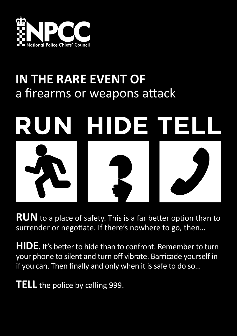

## **IN THE RARE EVENT OF**  a firearms or weapons attack



**RUN** to a place of safety. This is a far better option than to surrender or negotiate. If there's nowhere to go, then…

**HIDE.** It's better to hide than to confront. Remember to turn your phone to silent and turn off vibrate. Barricade yourself in if you can. Then finally and only when it is safe to do so…

**TELL** the police by calling 999.